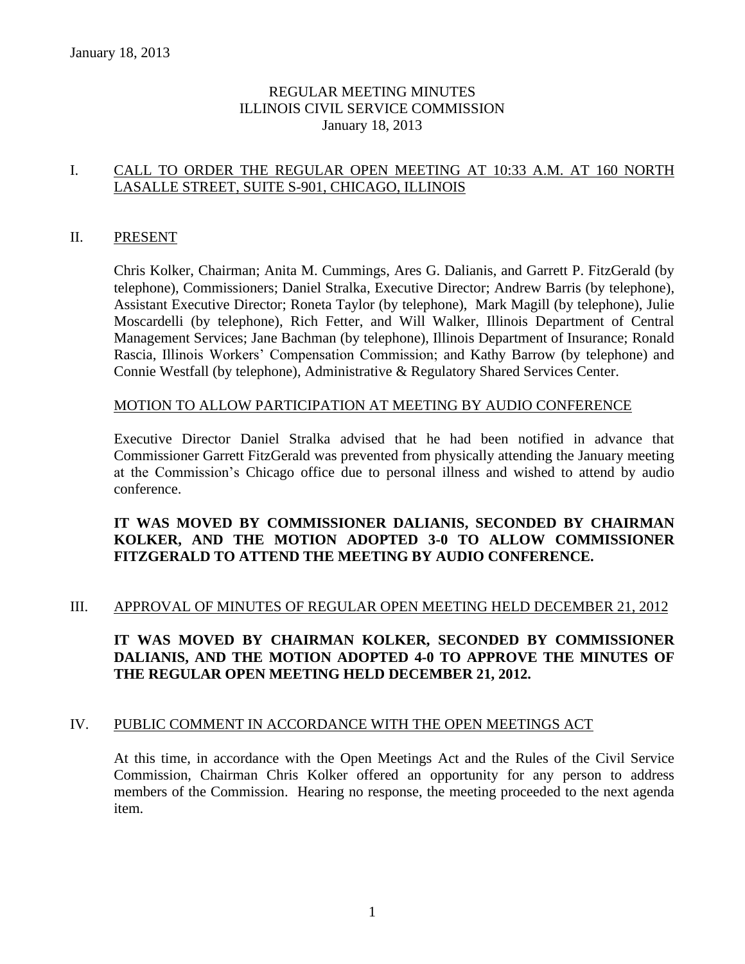### REGULAR MEETING MINUTES ILLINOIS CIVIL SERVICE COMMISSION January 18, 2013

### I. CALL TO ORDER THE REGULAR OPEN MEETING AT 10:33 A.M. AT 160 NORTH LASALLE STREET, SUITE S-901, CHICAGO, ILLINOIS

### II. PRESENT

Chris Kolker, Chairman; Anita M. Cummings, Ares G. Dalianis, and Garrett P. FitzGerald (by telephone), Commissioners; Daniel Stralka, Executive Director; Andrew Barris (by telephone), Assistant Executive Director; Roneta Taylor (by telephone), Mark Magill (by telephone), Julie Moscardelli (by telephone), Rich Fetter, and Will Walker, Illinois Department of Central Management Services; Jane Bachman (by telephone), Illinois Department of Insurance; Ronald Rascia, Illinois Workers' Compensation Commission; and Kathy Barrow (by telephone) and Connie Westfall (by telephone), Administrative & Regulatory Shared Services Center.

### MOTION TO ALLOW PARTICIPATION AT MEETING BY AUDIO CONFERENCE

Executive Director Daniel Stralka advised that he had been notified in advance that Commissioner Garrett FitzGerald was prevented from physically attending the January meeting at the Commission's Chicago office due to personal illness and wished to attend by audio conference.

### **IT WAS MOVED BY COMMISSIONER DALIANIS, SECONDED BY CHAIRMAN KOLKER, AND THE MOTION ADOPTED 3-0 TO ALLOW COMMISSIONER FITZGERALD TO ATTEND THE MEETING BY AUDIO CONFERENCE.**

### III. APPROVAL OF MINUTES OF REGULAR OPEN MEETING HELD DECEMBER 21, 2012

### **IT WAS MOVED BY CHAIRMAN KOLKER, SECONDED BY COMMISSIONER DALIANIS, AND THE MOTION ADOPTED 4-0 TO APPROVE THE MINUTES OF THE REGULAR OPEN MEETING HELD DECEMBER 21, 2012.**

#### IV. PUBLIC COMMENT IN ACCORDANCE WITH THE OPEN MEETINGS ACT

At this time, in accordance with the Open Meetings Act and the Rules of the Civil Service Commission, Chairman Chris Kolker offered an opportunity for any person to address members of the Commission. Hearing no response, the meeting proceeded to the next agenda item.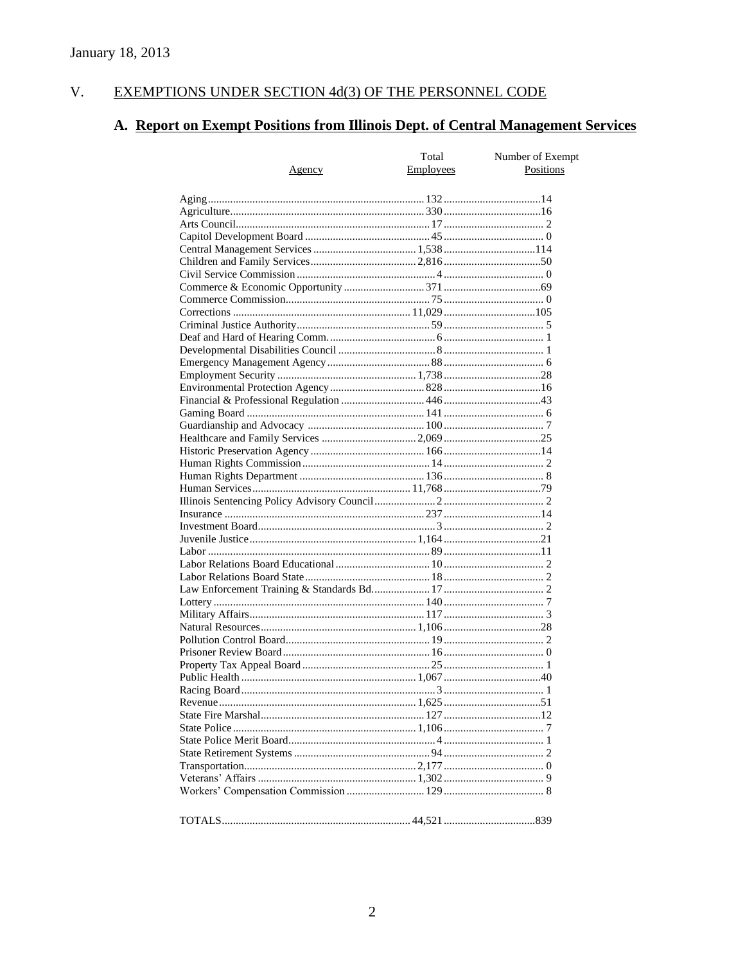#### EXEMPTIONS UNDER SECTION 4d(3) OF THE PERSONNEL CODE V.

# A. Report on Exempt Positions from Illinois Dept. of Central Management Services

|        | Total            | Number of Exempt |
|--------|------------------|------------------|
| Agency | <b>Employees</b> | Positions        |
|        |                  |                  |
|        |                  |                  |
|        |                  |                  |
|        |                  |                  |
|        |                  |                  |
|        |                  |                  |
|        |                  |                  |
|        |                  |                  |
|        |                  |                  |
|        |                  |                  |
|        |                  |                  |
|        |                  |                  |
|        |                  |                  |
|        |                  |                  |
|        |                  |                  |
|        |                  |                  |
|        |                  |                  |
|        |                  |                  |
|        |                  |                  |
|        |                  |                  |
|        |                  |                  |
|        |                  |                  |
|        |                  |                  |
|        |                  |                  |
|        |                  |                  |
|        |                  |                  |
|        |                  |                  |
|        |                  |                  |
|        |                  |                  |
|        |                  |                  |
|        |                  |                  |
|        |                  |                  |
|        |                  |                  |
|        |                  |                  |
|        |                  |                  |
|        |                  |                  |
|        |                  |                  |
|        |                  |                  |
|        |                  |                  |
|        |                  |                  |
|        |                  |                  |
|        |                  |                  |
|        |                  |                  |
|        |                  |                  |
|        |                  |                  |
|        |                  |                  |
|        |                  |                  |
|        |                  |                  |
|        |                  |                  |
|        |                  |                  |
|        |                  |                  |
|        |                  |                  |
|        |                  |                  |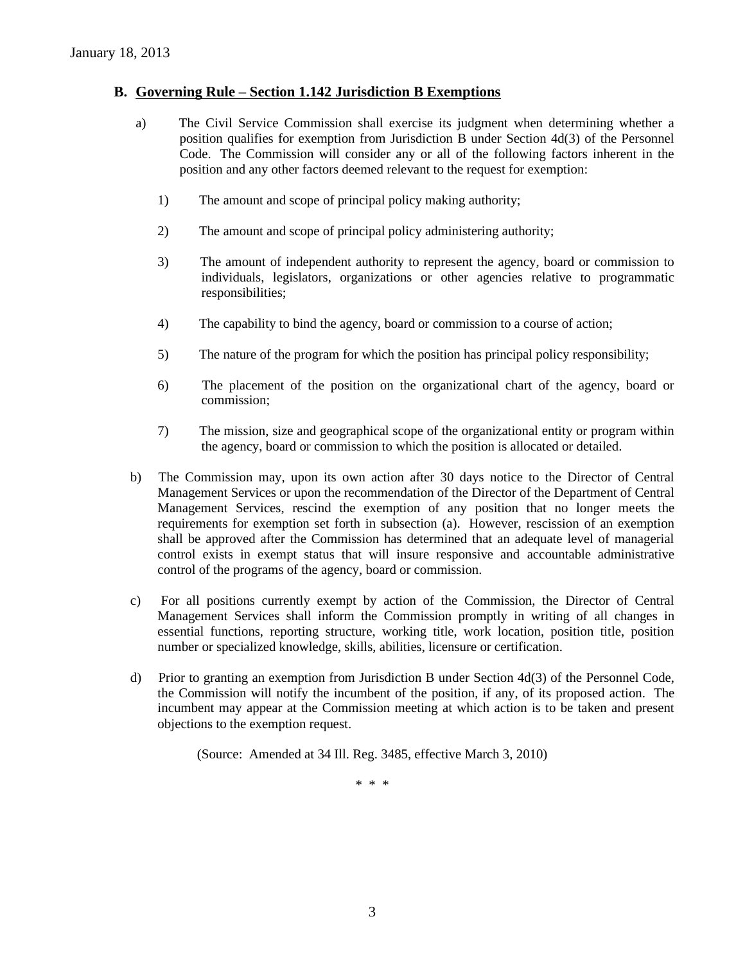### **B. Governing Rule – Section 1.142 Jurisdiction B Exemptions**

- a) The Civil Service Commission shall exercise its judgment when determining whether a position qualifies for exemption from Jurisdiction B under Section 4d(3) of the Personnel Code. The Commission will consider any or all of the following factors inherent in the position and any other factors deemed relevant to the request for exemption:
	- 1) The amount and scope of principal policy making authority;
	- 2) The amount and scope of principal policy administering authority;
	- 3) The amount of independent authority to represent the agency, board or commission to individuals, legislators, organizations or other agencies relative to programmatic responsibilities;
	- 4) The capability to bind the agency, board or commission to a course of action;
	- 5) The nature of the program for which the position has principal policy responsibility;
	- 6) The placement of the position on the organizational chart of the agency, board or commission;
	- 7) The mission, size and geographical scope of the organizational entity or program within the agency, board or commission to which the position is allocated or detailed.
- b) The Commission may, upon its own action after 30 days notice to the Director of Central Management Services or upon the recommendation of the Director of the Department of Central Management Services, rescind the exemption of any position that no longer meets the requirements for exemption set forth in subsection (a). However, rescission of an exemption shall be approved after the Commission has determined that an adequate level of managerial control exists in exempt status that will insure responsive and accountable administrative control of the programs of the agency, board or commission.
- c) For all positions currently exempt by action of the Commission, the Director of Central Management Services shall inform the Commission promptly in writing of all changes in essential functions, reporting structure, working title, work location, position title, position number or specialized knowledge, skills, abilities, licensure or certification.
- d) Prior to granting an exemption from Jurisdiction B under Section 4d(3) of the Personnel Code, the Commission will notify the incumbent of the position, if any, of its proposed action. The incumbent may appear at the Commission meeting at which action is to be taken and present objections to the exemption request.

(Source: Amended at 34 Ill. Reg. 3485, effective March 3, 2010)

\* \* \*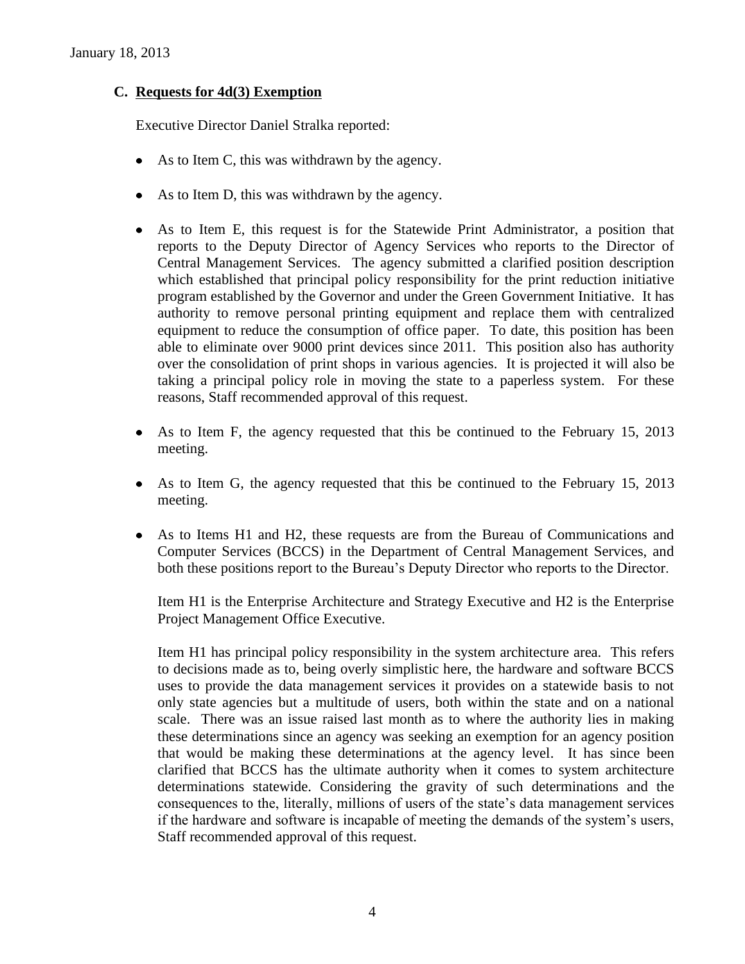### **C. Requests for 4d(3) Exemption**

Executive Director Daniel Stralka reported:

- As to Item C, this was withdrawn by the agency.
- As to Item D, this was withdrawn by the agency.
- As to Item E, this request is for the Statewide Print Administrator, a position that reports to the Deputy Director of Agency Services who reports to the Director of Central Management Services. The agency submitted a clarified position description which established that principal policy responsibility for the print reduction initiative program established by the Governor and under the Green Government Initiative. It has authority to remove personal printing equipment and replace them with centralized equipment to reduce the consumption of office paper. To date, this position has been able to eliminate over 9000 print devices since 2011. This position also has authority over the consolidation of print shops in various agencies. It is projected it will also be taking a principal policy role in moving the state to a paperless system. For these reasons, Staff recommended approval of this request.
- As to Item F, the agency requested that this be continued to the February 15, 2013 meeting.
- As to Item G, the agency requested that this be continued to the February 15, 2013 meeting.
- As to Items H1 and H2, these requests are from the Bureau of Communications and Computer Services (BCCS) in the Department of Central Management Services, and both these positions report to the Bureau's Deputy Director who reports to the Director.

Item H1 is the Enterprise Architecture and Strategy Executive and H2 is the Enterprise Project Management Office Executive.

Item H1 has principal policy responsibility in the system architecture area. This refers to decisions made as to, being overly simplistic here, the hardware and software BCCS uses to provide the data management services it provides on a statewide basis to not only state agencies but a multitude of users, both within the state and on a national scale. There was an issue raised last month as to where the authority lies in making these determinations since an agency was seeking an exemption for an agency position that would be making these determinations at the agency level. It has since been clarified that BCCS has the ultimate authority when it comes to system architecture determinations statewide. Considering the gravity of such determinations and the consequences to the, literally, millions of users of the state's data management services if the hardware and software is incapable of meeting the demands of the system's users, Staff recommended approval of this request.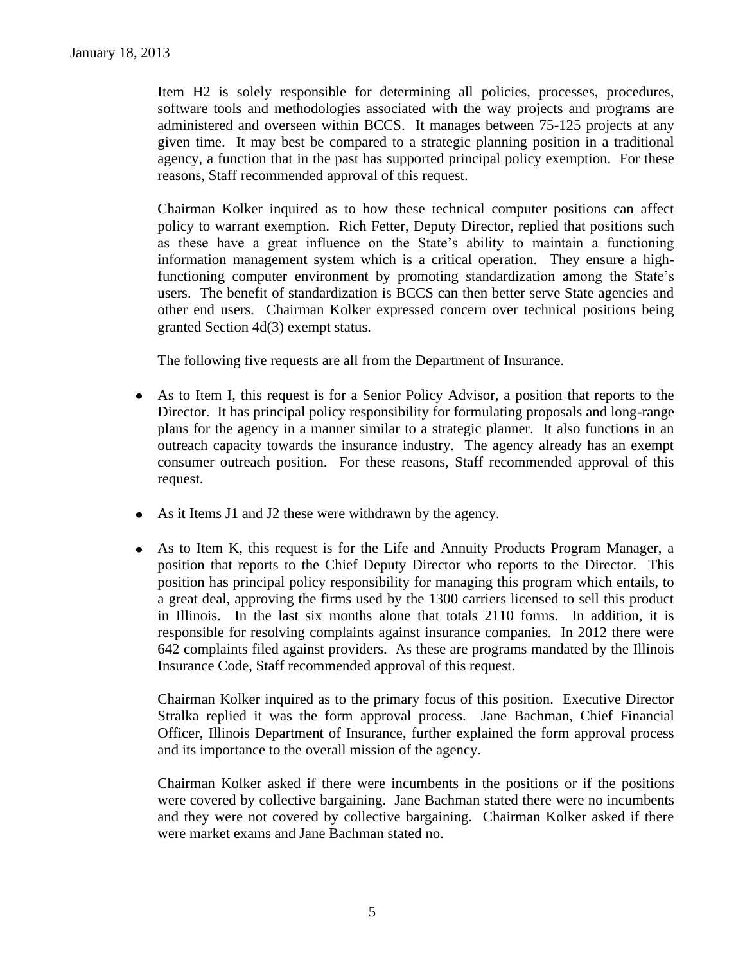Item H2 is solely responsible for determining all policies, processes, procedures, software tools and methodologies associated with the way projects and programs are administered and overseen within BCCS. It manages between 75-125 projects at any given time. It may best be compared to a strategic planning position in a traditional agency, a function that in the past has supported principal policy exemption. For these reasons, Staff recommended approval of this request.

Chairman Kolker inquired as to how these technical computer positions can affect policy to warrant exemption. Rich Fetter, Deputy Director, replied that positions such as these have a great influence on the State's ability to maintain a functioning information management system which is a critical operation. They ensure a highfunctioning computer environment by promoting standardization among the State's users. The benefit of standardization is BCCS can then better serve State agencies and other end users. Chairman Kolker expressed concern over technical positions being granted Section 4d(3) exempt status.

The following five requests are all from the Department of Insurance.

- As to Item I, this request is for a Senior Policy Advisor, a position that reports to the Director. It has principal policy responsibility for formulating proposals and long-range plans for the agency in a manner similar to a strategic planner. It also functions in an outreach capacity towards the insurance industry. The agency already has an exempt consumer outreach position. For these reasons, Staff recommended approval of this request.
- As it Items J1 and J2 these were withdrawn by the agency.
- As to Item K, this request is for the Life and Annuity Products Program Manager, a position that reports to the Chief Deputy Director who reports to the Director. This position has principal policy responsibility for managing this program which entails, to a great deal, approving the firms used by the 1300 carriers licensed to sell this product in Illinois. In the last six months alone that totals 2110 forms. In addition, it is responsible for resolving complaints against insurance companies. In 2012 there were 642 complaints filed against providers. As these are programs mandated by the Illinois Insurance Code, Staff recommended approval of this request.

Chairman Kolker inquired as to the primary focus of this position. Executive Director Stralka replied it was the form approval process. Jane Bachman, Chief Financial Officer, Illinois Department of Insurance, further explained the form approval process and its importance to the overall mission of the agency.

Chairman Kolker asked if there were incumbents in the positions or if the positions were covered by collective bargaining. Jane Bachman stated there were no incumbents and they were not covered by collective bargaining. Chairman Kolker asked if there were market exams and Jane Bachman stated no.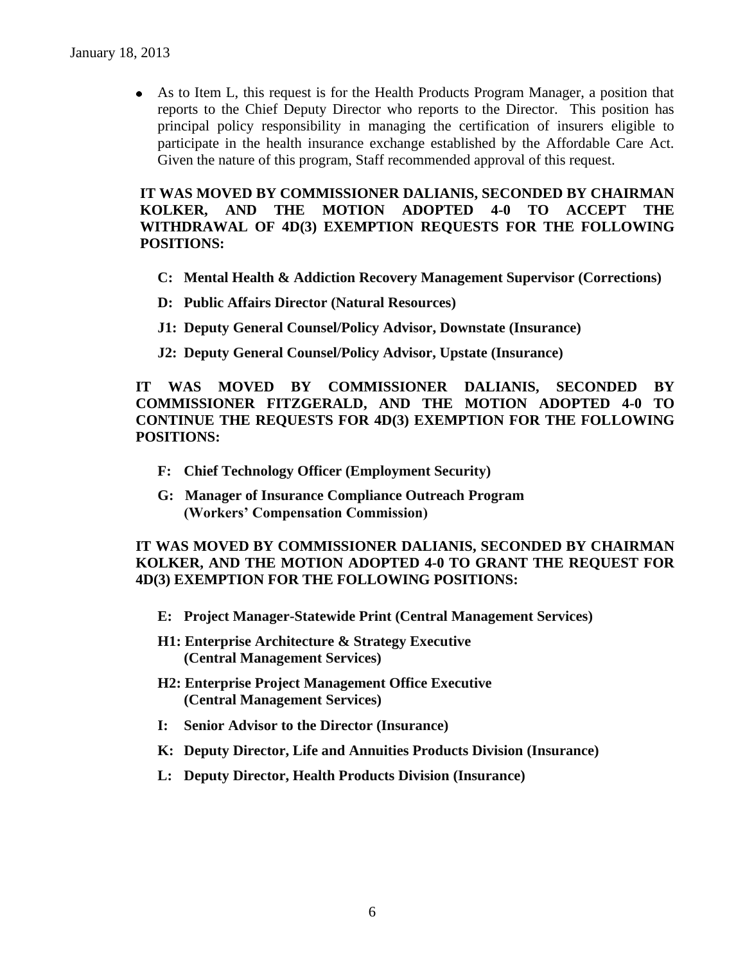As to Item L, this request is for the Health Products Program Manager, a position that reports to the Chief Deputy Director who reports to the Director. This position has principal policy responsibility in managing the certification of insurers eligible to participate in the health insurance exchange established by the Affordable Care Act. Given the nature of this program, Staff recommended approval of this request.

 **IT WAS MOVED BY COMMISSIONER DALIANIS, SECONDED BY CHAIRMAN KOLKER, AND THE MOTION ADOPTED 4-0 TO ACCEPT THE WITHDRAWAL OF 4D(3) EXEMPTION REQUESTS FOR THE FOLLOWING POSITIONS:**

- **C: Mental Health & Addiction Recovery Management Supervisor (Corrections)**
- **D: Public Affairs Director (Natural Resources)**
- **J1: Deputy General Counsel/Policy Advisor, Downstate (Insurance)**
- **J2: Deputy General Counsel/Policy Advisor, Upstate (Insurance)**

**IT WAS MOVED BY COMMISSIONER DALIANIS, SECONDED BY COMMISSIONER FITZGERALD, AND THE MOTION ADOPTED 4-0 TO CONTINUE THE REQUESTS FOR 4D(3) EXEMPTION FOR THE FOLLOWING POSITIONS:**

- **F: Chief Technology Officer (Employment Security)**
- **G: Manager of Insurance Compliance Outreach Program (Workers' Compensation Commission)**

**IT WAS MOVED BY COMMISSIONER DALIANIS, SECONDED BY CHAIRMAN KOLKER, AND THE MOTION ADOPTED 4-0 TO GRANT THE REQUEST FOR 4D(3) EXEMPTION FOR THE FOLLOWING POSITIONS:**

- **E: Project Manager-Statewide Print (Central Management Services)**
- **H1: Enterprise Architecture & Strategy Executive (Central Management Services)**
- **H2: Enterprise Project Management Office Executive (Central Management Services)**
- **I: Senior Advisor to the Director (Insurance)**
- **K: Deputy Director, Life and Annuities Products Division (Insurance)**
- **L: Deputy Director, Health Products Division (Insurance)**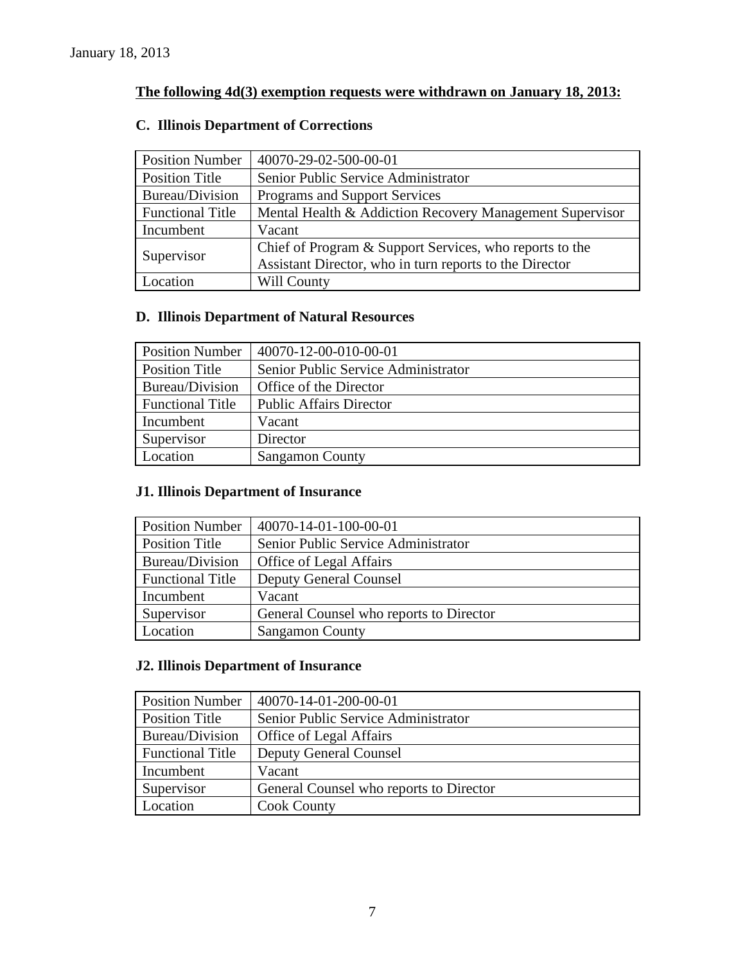## **The following 4d(3) exemption requests were withdrawn on January 18, 2013:**

### **C. Illinois Department of Corrections**

| <b>Position Number</b>  | 40070-29-02-500-00-01                                    |
|-------------------------|----------------------------------------------------------|
| <b>Position Title</b>   | Senior Public Service Administrator                      |
| Bureau/Division         | Programs and Support Services                            |
| <b>Functional Title</b> | Mental Health & Addiction Recovery Management Supervisor |
| Incumbent               | Vacant                                                   |
| Supervisor              | Chief of Program & Support Services, who reports to the  |
|                         | Assistant Director, who in turn reports to the Director  |
| Location                | Will County                                              |

### **D. Illinois Department of Natural Resources**

| <b>Position Number</b>  | $40070 - 12 - 00 - 010 - 00 - 01$   |
|-------------------------|-------------------------------------|
| <b>Position Title</b>   | Senior Public Service Administrator |
| Bureau/Division         | Office of the Director              |
| <b>Functional Title</b> | <b>Public Affairs Director</b>      |
| Incumbent               | Vacant                              |
| Supervisor              | Director                            |
| Location                | <b>Sangamon County</b>              |

### **J1. Illinois Department of Insurance**

| <b>Position Number</b>  | 40070-14-01-100-00-01                   |
|-------------------------|-----------------------------------------|
| <b>Position Title</b>   | Senior Public Service Administrator     |
| Bureau/Division         | Office of Legal Affairs                 |
| <b>Functional Title</b> | <b>Deputy General Counsel</b>           |
| Incumbent               | Vacant                                  |
| Supervisor              | General Counsel who reports to Director |
| Location                | <b>Sangamon County</b>                  |

### **J2. Illinois Department of Insurance**

| <b>Position Number</b>  | 40070-14-01-200-00-01                   |
|-------------------------|-----------------------------------------|
| Position Title          | Senior Public Service Administrator     |
| Bureau/Division         | Office of Legal Affairs                 |
| <b>Functional Title</b> | <b>Deputy General Counsel</b>           |
| Incumbent               | Vacant                                  |
| Supervisor              | General Counsel who reports to Director |
| Location                | <b>Cook County</b>                      |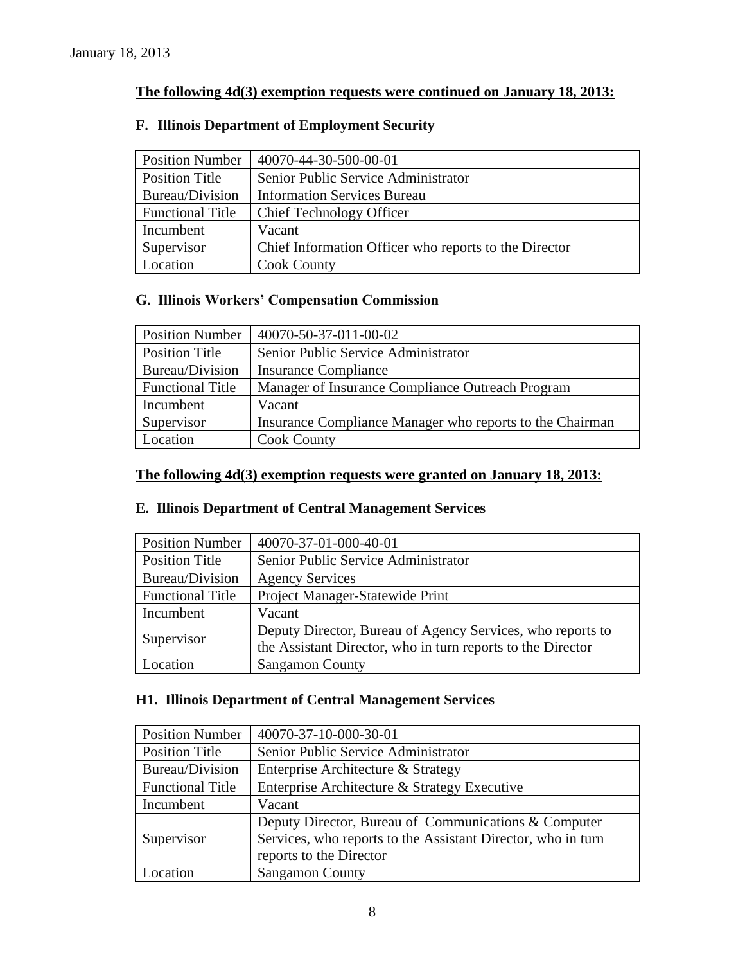### **The following 4d(3) exemption requests were continued on January 18, 2013:**

### Position Number | 40070-44-30-500-00-01 Position Title Senior Public Service Administrator Bureau/Division | Information Services Bureau Functional Title Chief Technology Officer Incumbent Vacant Supervisor | Chief Information Officer who reports to the Director Location | Cook County

### **F. Illinois Department of Employment Security**

### **G. Illinois Workers' Compensation Commission**

| <b>Position Number</b>  | 40070-50-37-011-00-02                                    |
|-------------------------|----------------------------------------------------------|
| <b>Position Title</b>   | Senior Public Service Administrator                      |
| Bureau/Division         | <b>Insurance Compliance</b>                              |
| <b>Functional Title</b> | Manager of Insurance Compliance Outreach Program         |
| Incumbent               | Vacant                                                   |
| Supervisor              | Insurance Compliance Manager who reports to the Chairman |
| Location                | <b>Cook County</b>                                       |

### **The following 4d(3) exemption requests were granted on January 18, 2013:**

### **E. Illinois Department of Central Management Services**

| <b>Position Number</b>  | 40070-37-01-000-40-01                                                                                                     |
|-------------------------|---------------------------------------------------------------------------------------------------------------------------|
| <b>Position Title</b>   | Senior Public Service Administrator                                                                                       |
| Bureau/Division         | <b>Agency Services</b>                                                                                                    |
| <b>Functional Title</b> | Project Manager-Statewide Print                                                                                           |
| Incumbent               | Vacant                                                                                                                    |
| Supervisor              | Deputy Director, Bureau of Agency Services, who reports to<br>the Assistant Director, who in turn reports to the Director |
| Location                | <b>Sangamon County</b>                                                                                                    |

### **H1. Illinois Department of Central Management Services**

| <b>Position Number</b>  | 40070-37-10-000-30-01                                        |
|-------------------------|--------------------------------------------------------------|
| <b>Position Title</b>   | Senior Public Service Administrator                          |
| Bureau/Division         | Enterprise Architecture & Strategy                           |
| <b>Functional Title</b> | Enterprise Architecture & Strategy Executive                 |
| Incumbent               | Vacant                                                       |
|                         | Deputy Director, Bureau of Communications & Computer         |
| Supervisor              | Services, who reports to the Assistant Director, who in turn |
|                         | reports to the Director                                      |
| ocation                 | <b>Sangamon County</b>                                       |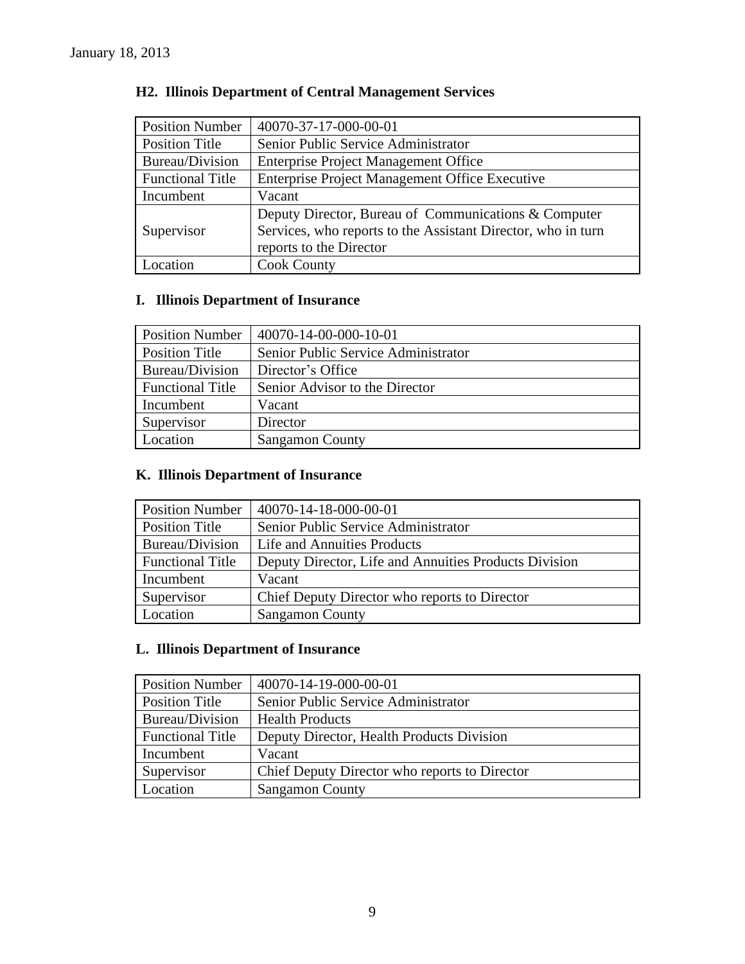| <b>Position Number</b>  | 40070-37-17-000-00-01                                        |
|-------------------------|--------------------------------------------------------------|
| <b>Position Title</b>   | Senior Public Service Administrator                          |
| Bureau/Division         | <b>Enterprise Project Management Office</b>                  |
| <b>Functional Title</b> | Enterprise Project Management Office Executive               |
| Incumbent               | Vacant                                                       |
|                         | Deputy Director, Bureau of Communications & Computer         |
| Supervisor              | Services, who reports to the Assistant Director, who in turn |
|                         | reports to the Director                                      |
| Location                | <b>Cook County</b>                                           |

### **H2. Illinois Department of Central Management Services**

### **I. Illinois Department of Insurance**

| <b>Position Number</b>  | 40070-14-00-000-10-01               |
|-------------------------|-------------------------------------|
| Position Title          | Senior Public Service Administrator |
| Bureau/Division         | Director's Office                   |
| <b>Functional Title</b> | Senior Advisor to the Director      |
| Incumbent               | Vacant                              |
| Supervisor              | Director                            |
| Location                | <b>Sangamon County</b>              |

### **K. Illinois Department of Insurance**

| <b>Position Number</b>  | 40070-14-18-000-00-01                                 |
|-------------------------|-------------------------------------------------------|
| Position Title          | Senior Public Service Administrator                   |
| Bureau/Division         | Life and Annuities Products                           |
| <b>Functional Title</b> | Deputy Director, Life and Annuities Products Division |
| Incumbent               | Vacant                                                |
| Supervisor              | Chief Deputy Director who reports to Director         |
| Location                | <b>Sangamon County</b>                                |

### **L. Illinois Department of Insurance**

| <b>Position Number</b>  | 40070-14-19-000-00-01                         |
|-------------------------|-----------------------------------------------|
| <b>Position Title</b>   | Senior Public Service Administrator           |
| Bureau/Division         | <b>Health Products</b>                        |
| <b>Functional Title</b> | Deputy Director, Health Products Division     |
| Incumbent               | Vacant                                        |
| Supervisor              | Chief Deputy Director who reports to Director |
| Location                | <b>Sangamon County</b>                        |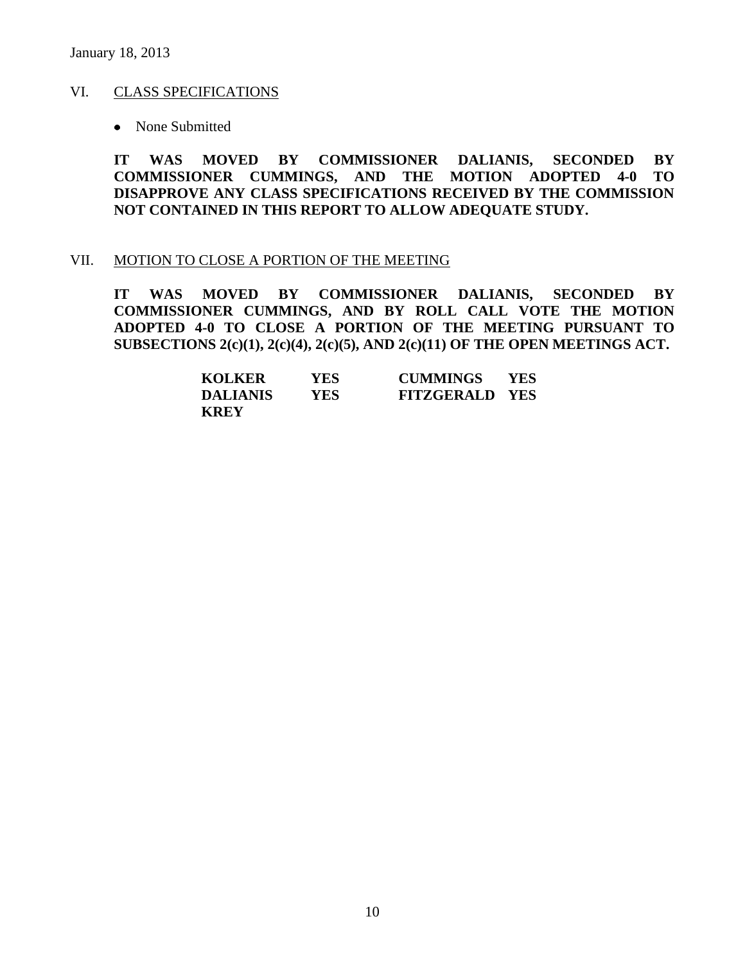### VI. CLASS SPECIFICATIONS

• None Submitted

**IT WAS MOVED BY COMMISSIONER DALIANIS, SECONDED BY COMMISSIONER CUMMINGS, AND THE MOTION ADOPTED 4-0 TO DISAPPROVE ANY CLASS SPECIFICATIONS RECEIVED BY THE COMMISSION NOT CONTAINED IN THIS REPORT TO ALLOW ADEQUATE STUDY.** 

#### VII. MOTION TO CLOSE A PORTION OF THE MEETING

**IT WAS MOVED BY COMMISSIONER DALIANIS, SECONDED BY COMMISSIONER CUMMINGS, AND BY ROLL CALL VOTE THE MOTION ADOPTED 4-0 TO CLOSE A PORTION OF THE MEETING PURSUANT TO SUBSECTIONS 2(c)(1), 2(c)(4), 2(c)(5), AND 2(c)(11) OF THE OPEN MEETINGS ACT.**

| <b>KOLKER</b>   | YES | <b>CUMMINGS</b>       | <b>YES</b> |
|-----------------|-----|-----------------------|------------|
| <b>DALIANIS</b> | YES | <b>FITZGERALD YES</b> |            |
| <b>KREY</b>     |     |                       |            |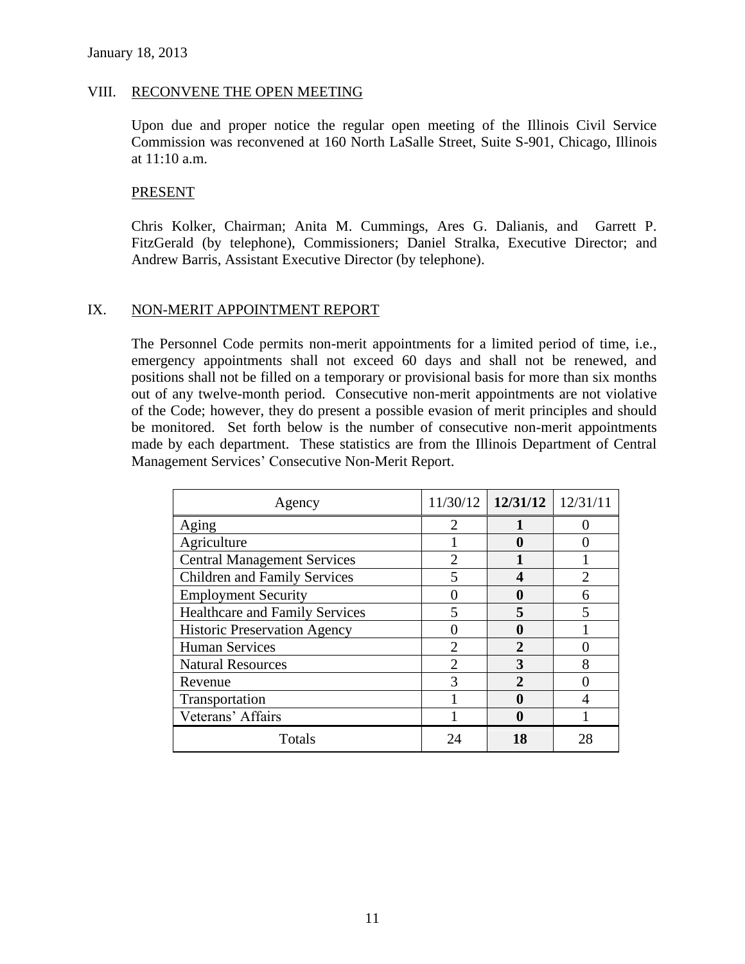### VIII. RECONVENE THE OPEN MEETING

Upon due and proper notice the regular open meeting of the Illinois Civil Service Commission was reconvened at 160 North LaSalle Street, Suite S-901, Chicago, Illinois at 11:10 a.m.

#### **PRESENT**

Chris Kolker, Chairman; Anita M. Cummings, Ares G. Dalianis, and Garrett P. FitzGerald (by telephone), Commissioners; Daniel Stralka, Executive Director; and Andrew Barris, Assistant Executive Director (by telephone).

#### IX. NON-MERIT APPOINTMENT REPORT

The Personnel Code permits non-merit appointments for a limited period of time, i.e., emergency appointments shall not exceed 60 days and shall not be renewed, and positions shall not be filled on a temporary or provisional basis for more than six months out of any twelve-month period. Consecutive non-merit appointments are not violative of the Code; however, they do present a possible evasion of merit principles and should be monitored. Set forth below is the number of consecutive non-merit appointments made by each department. These statistics are from the Illinois Department of Central Management Services' Consecutive Non-Merit Report.

| Agency                                |                             | $11/30/12$   $12/31/12$   $12/31/11$ |  |
|---------------------------------------|-----------------------------|--------------------------------------|--|
| Aging                                 | 2                           |                                      |  |
| Agriculture                           |                             |                                      |  |
| <b>Central Management Services</b>    | $\mathfrak{D}$              |                                      |  |
| <b>Children and Family Services</b>   |                             |                                      |  |
| <b>Employment Security</b>            |                             |                                      |  |
| <b>Healthcare and Family Services</b> |                             |                                      |  |
| <b>Historic Preservation Agency</b>   |                             |                                      |  |
| <b>Human Services</b>                 |                             | $\mathbf{c}$                         |  |
| <b>Natural Resources</b>              | $\mathcal{D}_{\mathcal{L}}$ | 3                                    |  |
| Revenue                               |                             | າ                                    |  |
| Transportation                        |                             |                                      |  |
| Veterans' Affairs                     |                             |                                      |  |
| Totals                                |                             |                                      |  |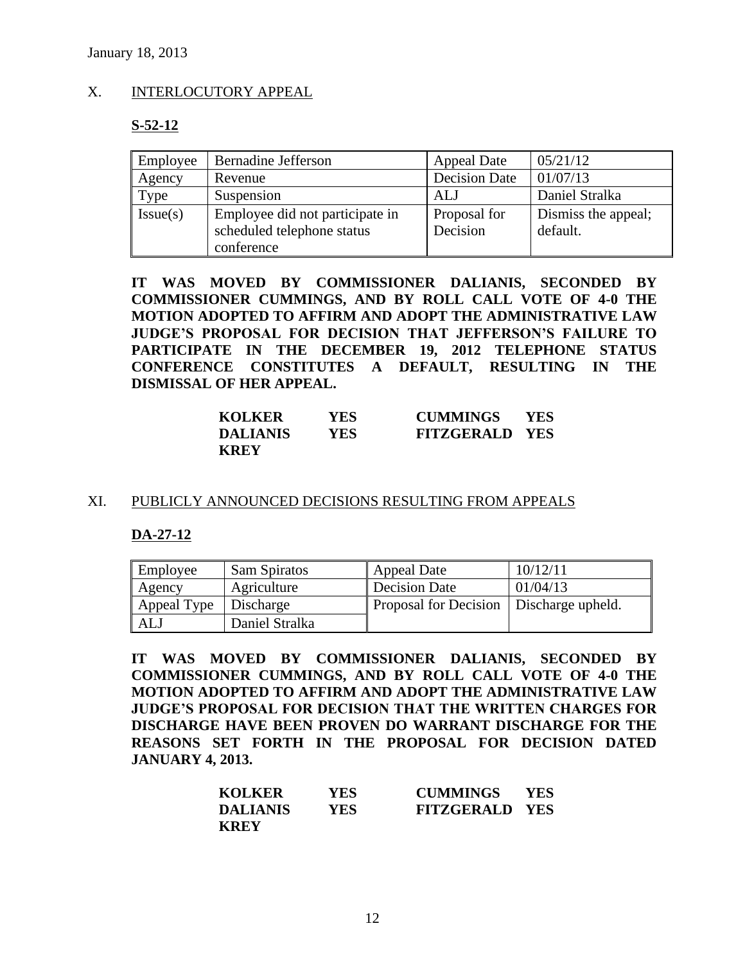### X. INTERLOCUTORY APPEAL

#### **S-52-12**

| Employee | <b>Bernadine Jefferson</b>                                                  | <b>Appeal Date</b>       | 05/21/12                        |
|----------|-----------------------------------------------------------------------------|--------------------------|---------------------------------|
| Agency   | Revenue                                                                     | <b>Decision Date</b>     | 01/07/13                        |
| Type     | Suspension                                                                  | ALJ                      | Daniel Stralka                  |
| Issue(s) | Employee did not participate in<br>scheduled telephone status<br>conference | Proposal for<br>Decision | Dismiss the appeal;<br>default. |

**IT WAS MOVED BY COMMISSIONER DALIANIS, SECONDED BY COMMISSIONER CUMMINGS, AND BY ROLL CALL VOTE OF 4-0 THE MOTION ADOPTED TO AFFIRM AND ADOPT THE ADMINISTRATIVE LAW JUDGE'S PROPOSAL FOR DECISION THAT JEFFERSON'S FAILURE TO PARTICIPATE IN THE DECEMBER 19, 2012 TELEPHONE STATUS CONFERENCE CONSTITUTES A DEFAULT, RESULTING IN THE DISMISSAL OF HER APPEAL.**

| <b>KOLKER</b>   | YES | <b>CUMMINGS</b>       | <b>YES</b> |
|-----------------|-----|-----------------------|------------|
| <b>DALIANIS</b> | YES | <b>FITZGERALD YES</b> |            |
| <b>KREY</b>     |     |                       |            |

#### XI. PUBLICLY ANNOUNCED DECISIONS RESULTING FROM APPEALS

#### **DA-27-12**

| Employee    | Sam Spiratos   | Appeal Date                               | 10/12/11 |
|-------------|----------------|-------------------------------------------|----------|
| Agency      | Agriculture    | Decision Date                             | 01/04/13 |
| Appeal Type | Discharge      | Proposal for Decision   Discharge upheld. |          |
| ALJ         | Daniel Stralka |                                           |          |

**IT WAS MOVED BY COMMISSIONER DALIANIS, SECONDED BY COMMISSIONER CUMMINGS, AND BY ROLL CALL VOTE OF 4-0 THE MOTION ADOPTED TO AFFIRM AND ADOPT THE ADMINISTRATIVE LAW JUDGE'S PROPOSAL FOR DECISION THAT THE WRITTEN CHARGES FOR DISCHARGE HAVE BEEN PROVEN DO WARRANT DISCHARGE FOR THE REASONS SET FORTH IN THE PROPOSAL FOR DECISION DATED JANUARY 4, 2013.** 

| <b>KOLKER</b>   | <b>YES</b> | <b>CUMMINGS</b>       | <b>YES</b> |
|-----------------|------------|-----------------------|------------|
| <b>DALIANIS</b> | YES.       | <b>FITZGERALD YES</b> |            |
| <b>KREY</b>     |            |                       |            |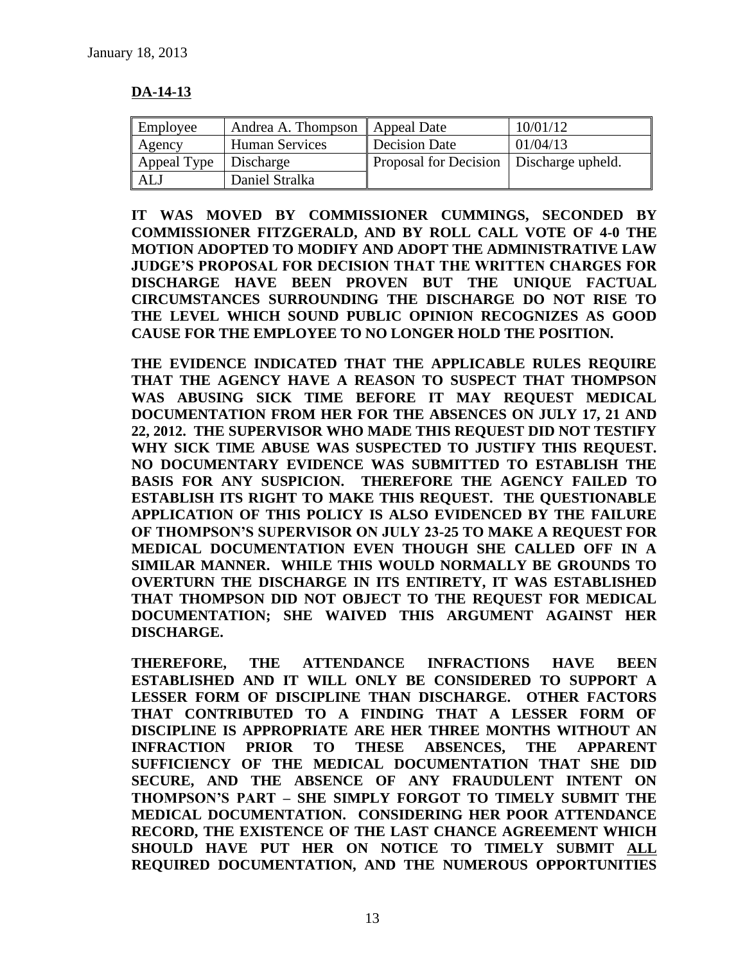### **DA-14-13**

| Employee                | Andrea A. Thompson    Appeal Date |                                           | 10/01/12 |
|-------------------------|-----------------------------------|-------------------------------------------|----------|
| Agency                  | Human Services                    | Decision Date                             | 01/04/13 |
| Appeal Type   Discharge |                                   | Proposal for Decision   Discharge upheld. |          |
| ALJ                     | Daniel Stralka                    |                                           |          |

**IT WAS MOVED BY COMMISSIONER CUMMINGS, SECONDED BY COMMISSIONER FITZGERALD, AND BY ROLL CALL VOTE OF 4-0 THE MOTION ADOPTED TO MODIFY AND ADOPT THE ADMINISTRATIVE LAW JUDGE'S PROPOSAL FOR DECISION THAT THE WRITTEN CHARGES FOR DISCHARGE HAVE BEEN PROVEN BUT THE UNIQUE FACTUAL CIRCUMSTANCES SURROUNDING THE DISCHARGE DO NOT RISE TO THE LEVEL WHICH SOUND PUBLIC OPINION RECOGNIZES AS GOOD CAUSE FOR THE EMPLOYEE TO NO LONGER HOLD THE POSITION.** 

**THE EVIDENCE INDICATED THAT THE APPLICABLE RULES REQUIRE THAT THE AGENCY HAVE A REASON TO SUSPECT THAT THOMPSON WAS ABUSING SICK TIME BEFORE IT MAY REQUEST MEDICAL DOCUMENTATION FROM HER FOR THE ABSENCES ON JULY 17, 21 AND 22, 2012. THE SUPERVISOR WHO MADE THIS REQUEST DID NOT TESTIFY WHY SICK TIME ABUSE WAS SUSPECTED TO JUSTIFY THIS REQUEST. NO DOCUMENTARY EVIDENCE WAS SUBMITTED TO ESTABLISH THE BASIS FOR ANY SUSPICION. THEREFORE THE AGENCY FAILED TO ESTABLISH ITS RIGHT TO MAKE THIS REQUEST. THE QUESTIONABLE APPLICATION OF THIS POLICY IS ALSO EVIDENCED BY THE FAILURE OF THOMPSON'S SUPERVISOR ON JULY 23-25 TO MAKE A REQUEST FOR MEDICAL DOCUMENTATION EVEN THOUGH SHE CALLED OFF IN A SIMILAR MANNER. WHILE THIS WOULD NORMALLY BE GROUNDS TO OVERTURN THE DISCHARGE IN ITS ENTIRETY, IT WAS ESTABLISHED THAT THOMPSON DID NOT OBJECT TO THE REQUEST FOR MEDICAL DOCUMENTATION; SHE WAIVED THIS ARGUMENT AGAINST HER DISCHARGE.** 

**THEREFORE, THE ATTENDANCE INFRACTIONS HAVE BEEN ESTABLISHED AND IT WILL ONLY BE CONSIDERED TO SUPPORT A LESSER FORM OF DISCIPLINE THAN DISCHARGE. OTHER FACTORS THAT CONTRIBUTED TO A FINDING THAT A LESSER FORM OF DISCIPLINE IS APPROPRIATE ARE HER THREE MONTHS WITHOUT AN INFRACTION PRIOR TO THESE ABSENCES, THE APPARENT SUFFICIENCY OF THE MEDICAL DOCUMENTATION THAT SHE DID SECURE, AND THE ABSENCE OF ANY FRAUDULENT INTENT ON THOMPSON'S PART – SHE SIMPLY FORGOT TO TIMELY SUBMIT THE MEDICAL DOCUMENTATION. CONSIDERING HER POOR ATTENDANCE RECORD, THE EXISTENCE OF THE LAST CHANCE AGREEMENT WHICH SHOULD HAVE PUT HER ON NOTICE TO TIMELY SUBMIT ALL REQUIRED DOCUMENTATION, AND THE NUMEROUS OPPORTUNITIES**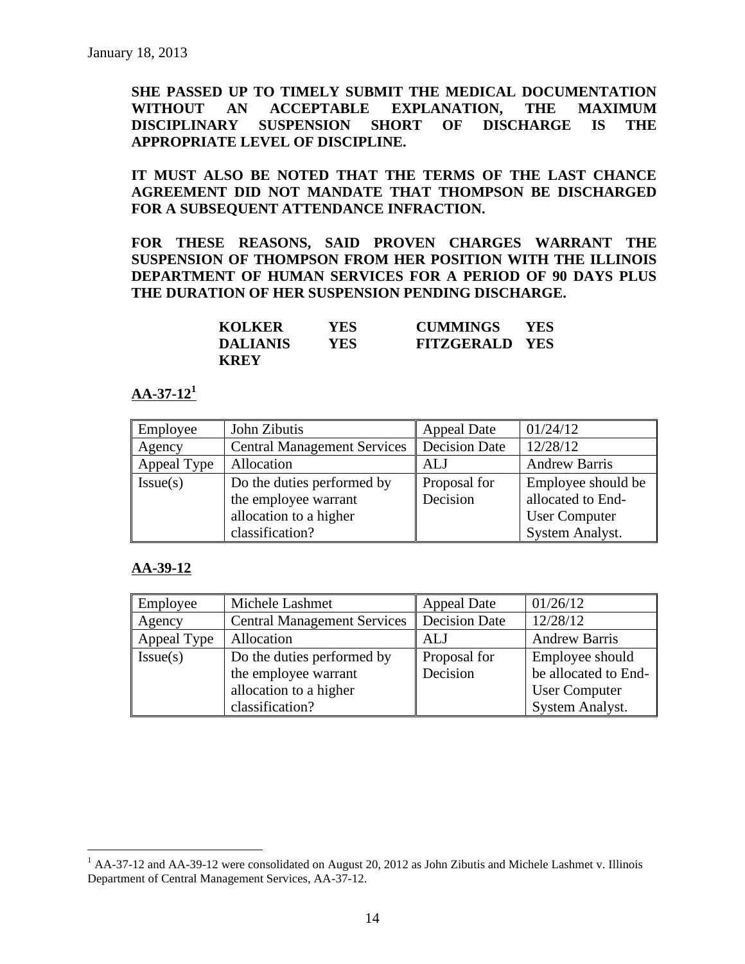**SHE PASSED UP TO TIMELY SUBMIT THE MEDICAL DOCUMENTATION WITHOUT AN ACCEPTABLE EXPLANATION, THE MAXIMUM DISCIPLINARY SUSPENSION SHORT OF DISCHARGE IS THE APPROPRIATE LEVEL OF DISCIPLINE.** 

**IT MUST ALSO BE NOTED THAT THE TERMS OF THE LAST CHANCE AGREEMENT DID NOT MANDATE THAT THOMPSON BE DISCHARGED FOR A SUBSEQUENT ATTENDANCE INFRACTION.** 

**FOR THESE REASONS, SAID PROVEN CHARGES WARRANT THE SUSPENSION OF THOMPSON FROM HER POSITION WITH THE ILLINOIS DEPARTMENT OF HUMAN SERVICES FOR A PERIOD OF 90 DAYS PLUS THE DURATION OF HER SUSPENSION PENDING DISCHARGE.**

| <b>KOLKER</b>   | YES. | <b>CUMMINGS</b>       | <b>YES</b> |
|-----------------|------|-----------------------|------------|
| <b>DALIANIS</b> | YES. | <b>FITZGERALD YES</b> |            |
| <b>KREY</b>     |      |                       |            |

#### **AA-37-12<sup>1</sup>**

| Employee    | John Zibutis                       | <b>Appeal Date</b>   | 01/24/12             |
|-------------|------------------------------------|----------------------|----------------------|
| Agency      | <b>Central Management Services</b> | <b>Decision Date</b> | 12/28/12             |
| Appeal Type | Allocation                         | ALJ                  | <b>Andrew Barris</b> |
| Issue(s)    | Do the duties performed by         | Proposal for         | Employee should be   |
|             | the employee warrant               | Decision             | allocated to End-    |
|             | allocation to a higher             |                      | <b>User Computer</b> |
|             | classification?                    |                      | System Analyst.      |

#### **AA-39-12**

 $\overline{a}$ 

| Employee    | Michele Lashmet                    | <b>Appeal Date</b>   | 01/26/12             |
|-------------|------------------------------------|----------------------|----------------------|
| Agency      | <b>Central Management Services</b> | <b>Decision Date</b> | 12/28/12             |
| Appeal Type | Allocation                         | ALJ                  | <b>Andrew Barris</b> |
| Issue(s)    | Do the duties performed by         | Proposal for         | Employee should      |
|             | the employee warrant               | Decision             | be allocated to End- |
|             | allocation to a higher             |                      | <b>User Computer</b> |
|             | classification?                    |                      | System Analyst.      |

<sup>&</sup>lt;sup>1</sup> AA-37-12 and AA-39-12 were consolidated on August 20, 2012 as John Zibutis and Michele Lashmet v. Illinois Department of Central Management Services, AA-37-12.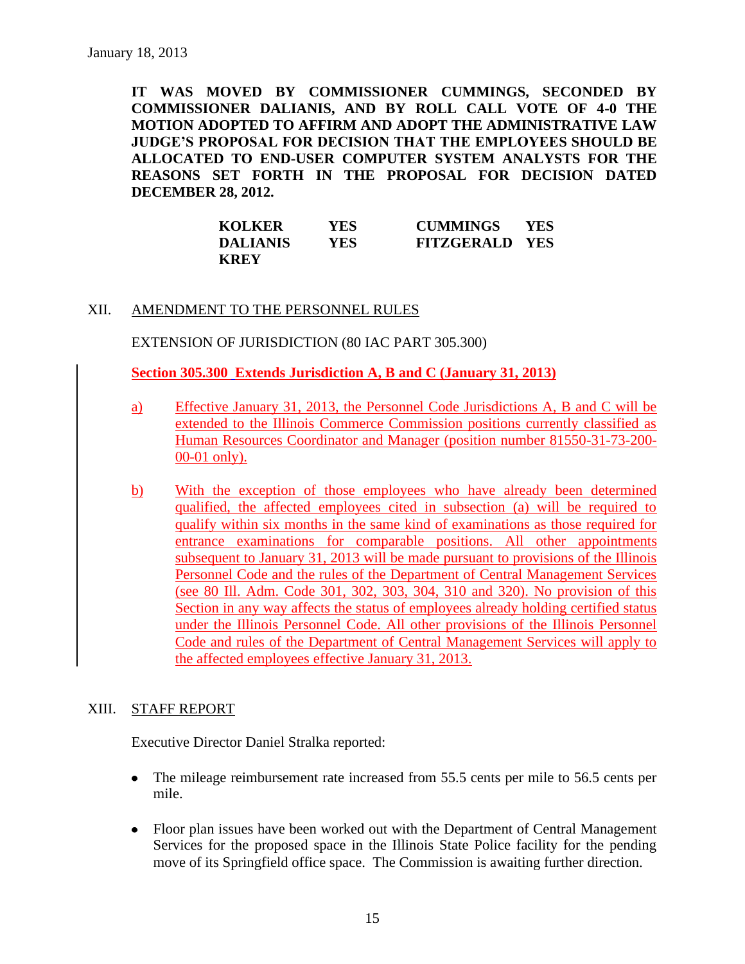**IT WAS MOVED BY COMMISSIONER CUMMINGS, SECONDED BY COMMISSIONER DALIANIS, AND BY ROLL CALL VOTE OF 4-0 THE MOTION ADOPTED TO AFFIRM AND ADOPT THE ADMINISTRATIVE LAW JUDGE'S PROPOSAL FOR DECISION THAT THE EMPLOYEES SHOULD BE ALLOCATED TO END-USER COMPUTER SYSTEM ANALYSTS FOR THE REASONS SET FORTH IN THE PROPOSAL FOR DECISION DATED DECEMBER 28, 2012.** 

| <b>KOLKER</b>   | YES. | <b>CUMMINGS</b>       | <b>YES</b> |
|-----------------|------|-----------------------|------------|
| <b>DALIANIS</b> | YES. | <b>FITZGERALD YES</b> |            |
| <b>KREY</b>     |      |                       |            |

#### XII. AMENDMENT TO THE PERSONNEL RULES

EXTENSION OF JURISDICTION (80 IAC PART 305.300)

**Section 305.300 Extends Jurisdiction A, B and C (January 31, 2013)**

- a) Effective January 31, 2013, the Personnel Code Jurisdictions A, B and C will be extended to the Illinois Commerce Commission positions currently classified as Human Resources Coordinator and Manager (position number 81550-31-73-200- 00-01 only).
- b) With the exception of those employees who have already been determined qualified, the affected employees cited in subsection (a) will be required to qualify within six months in the same kind of examinations as those required for entrance examinations for comparable positions. All other appointments subsequent to January 31, 2013 will be made pursuant to provisions of the Illinois Personnel Code and the rules of the Department of Central Management Services (see 80 Ill. Adm. Code 301, 302, 303, 304, 310 and 320). No provision of this Section in any way affects the status of employees already holding certified status under the Illinois Personnel Code. All other provisions of the Illinois Personnel Code and rules of the Department of Central Management Services will apply to the affected employees effective January 31, 2013.

### XIII. STAFF REPORT

Executive Director Daniel Stralka reported:

- The mileage reimbursement rate increased from 55.5 cents per mile to 56.5 cents per mile.
- Floor plan issues have been worked out with the Department of Central Management Services for the proposed space in the Illinois State Police facility for the pending move of its Springfield office space. The Commission is awaiting further direction.